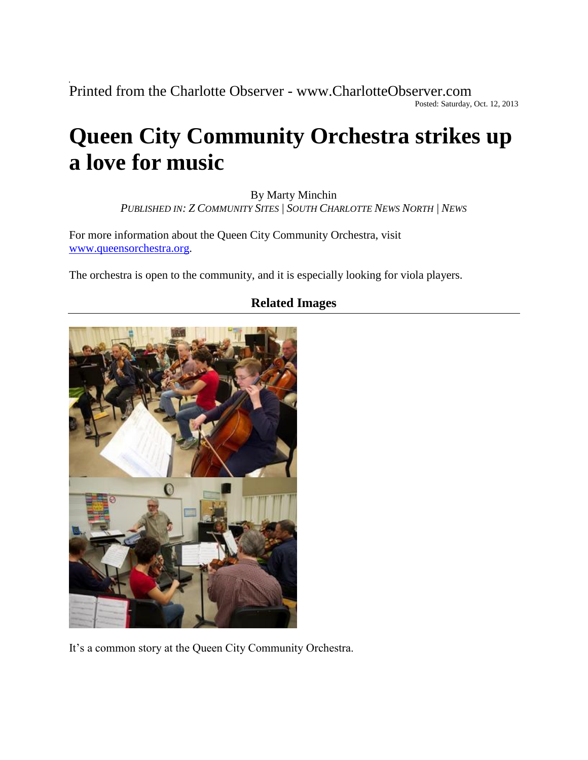Printed from the Charlotte Observer - www.CharlotteObserver.com Posted: Saturday, Oct. 12, 2013

## **Queen City Community Orchestra strikes up a love for music**

By Marty Minchin

*PUBLISHED IN: Z COMMUNITY SITES | SOUTH CHARLOTTE NEWS NORTH | NEWS* 

For more information about the Queen City Community Orchestra, visit [www.queensorchestra.org.](http://www.queensorchestra.org/)

The orchestra is open to the community, and it is especially looking for viola players.



## **Related Images**

It's a common story at the Queen City Community Orchestra.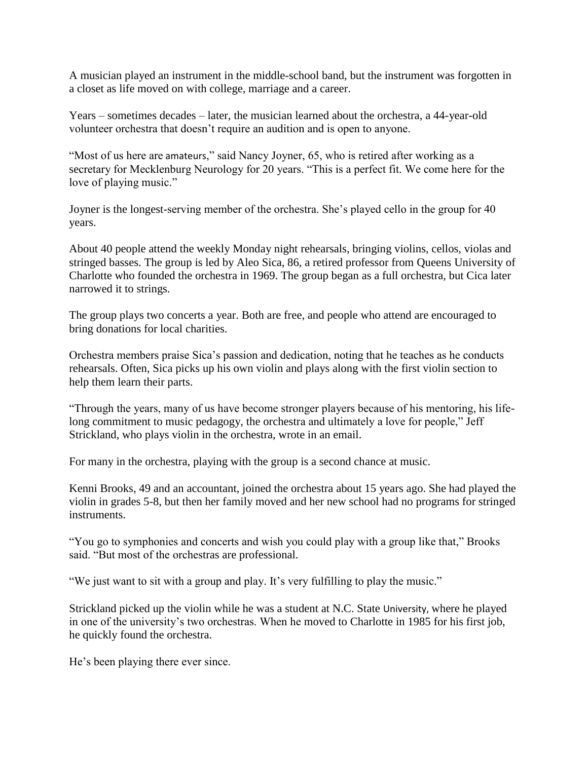A musician played an instrument in the middle-school band, but the instrument was forgotten in a closet as life moved on with college, marriage and a career.

Years – sometimes decades – later, the musician learned about the orchestra, a 44-year-old volunteer orchestra that doesn't require an audition and is open to anyone.

"Most of us here are amateurs," said Nancy Joyner, 65, who is retired after working as a secretary for Mecklenburg Neurology for 20 years. "This is a perfect fit. We come here for the love of playing music."

Joyner is the longest-serving member of the orchestra. She's played cello in the group for 40 years.

About 40 people attend the weekly Monday night rehearsals, bringing violins, cellos, violas and stringed basses. The group is led by Aleo Sica, 86, a retired professor from Queens University of Charlotte who founded the orchestra in 1969. The group began as a full orchestra, but Cica later narrowed it to strings.

The group plays two concerts a year. Both are free, and people who attend are encouraged to bring donations for local charities.

Orchestra members praise Sica's passion and dedication, noting that he teaches as he conducts rehearsals. Often, Sica picks up his own violin and plays along with the first violin section to help them learn their parts.

"Through the years, many of us have become stronger players because of his mentoring, his lifelong commitment to music pedagogy, the orchestra and ultimately a love for people," Jeff Strickland, who plays violin in the orchestra, wrote in an email.

For many in the orchestra, playing with the group is a second chance at music.

Kenni Brooks, 49 and an accountant, joined the orchestra about 15 years ago. She had played the violin in grades 5-8, but then her family moved and her new school had no programs for stringed instruments.

"You go to symphonies and concerts and wish you could play with a group like that," Brooks said. "But most of the orchestras are professional.

"We just want to sit with a group and play. It's very fulfilling to play the music."

Strickland picked up the violin while he was a student at N.C. State University, where he played in one of the university's two orchestras. When he moved to Charlotte in 1985 for his first job, he quickly found the orchestra.

He's been playing there ever since.